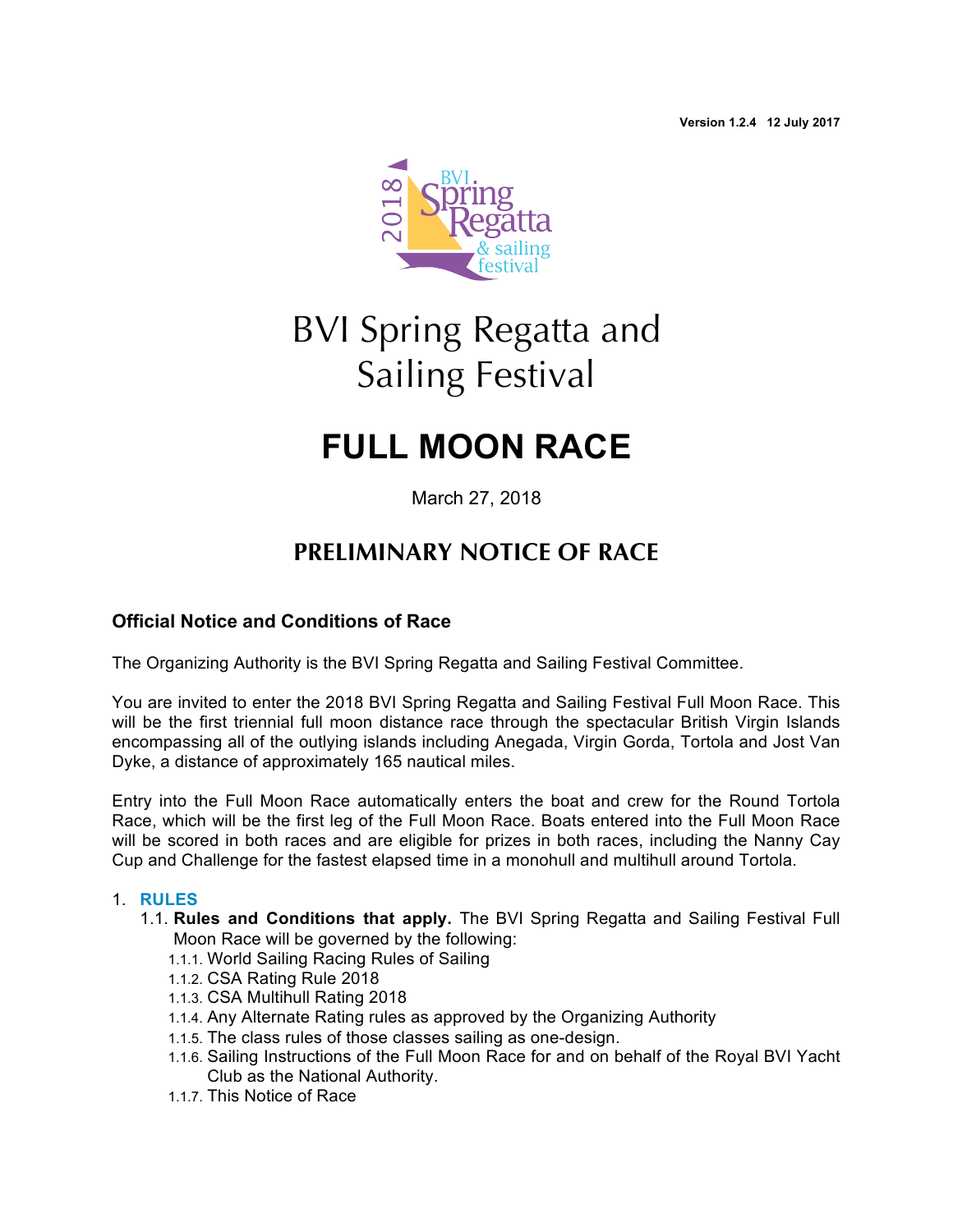**Version 1.2.4 12 July 2017**



# BVI Spring Regatta and Sailing Festival

## **FULL MOON RACE**

March 27, 2018

### **PRELIMINARY NOTICE OF RACE**

#### **Official Notice and Conditions of Race**

The Organizing Authority is the BVI Spring Regatta and Sailing Festival Committee.

You are invited to enter the 2018 BVI Spring Regatta and Sailing Festival Full Moon Race. This will be the first triennial full moon distance race through the spectacular British Virgin Islands encompassing all of the outlying islands including Anegada, Virgin Gorda, Tortola and Jost Van Dyke, a distance of approximately 165 nautical miles.

Entry into the Full Moon Race automatically enters the boat and crew for the Round Tortola Race, which will be the first leg of the Full Moon Race. Boats entered into the Full Moon Race will be scored in both races and are eligible for prizes in both races, including the Nanny Cay Cup and Challenge for the fastest elapsed time in a monohull and multihull around Tortola.

#### 1. **RULES**

- 1.1. **Rules and Conditions that apply.** The BVI Spring Regatta and Sailing Festival Full Moon Race will be governed by the following:
	- 1.1.1. World Sailing Racing Rules of Sailing
	- 1.1.2. CSA Rating Rule 2018
	- 1.1.3. CSA Multihull Rating 2018
	- 1.1.4. Any Alternate Rating rules as approved by the Organizing Authority
	- 1.1.5. The class rules of those classes sailing as one-design.
	- 1.1.6. Sailing Instructions of the Full Moon Race for and on behalf of the Royal BVI Yacht Club as the National Authority.
	- 1.1.7. This Notice of Race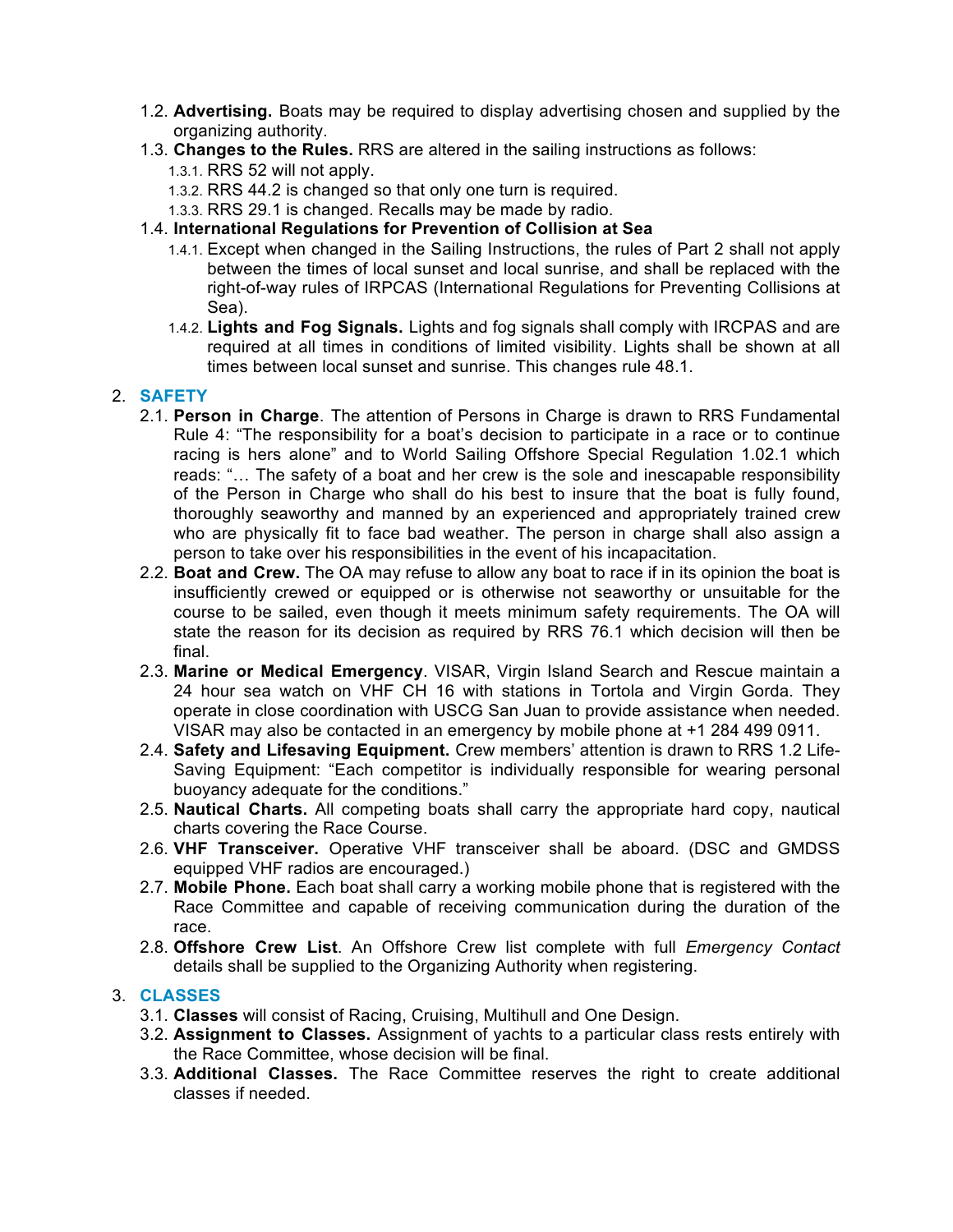- 1.2. **Advertising.** Boats may be required to display advertising chosen and supplied by the organizing authority.
- 1.3. **Changes to the Rules.** RRS are altered in the sailing instructions as follows:
	- 1.3.1. RRS 52 will not apply.
	- 1.3.2. RRS 44.2 is changed so that only one turn is required.
	- 1.3.3. RRS 29.1 is changed. Recalls may be made by radio.
- 1.4. **International Regulations for Prevention of Collision at Sea** 
	- 1.4.1. Except when changed in the Sailing Instructions, the rules of Part 2 shall not apply between the times of local sunset and local sunrise, and shall be replaced with the right-of-way rules of IRPCAS (International Regulations for Preventing Collisions at Sea).
	- 1.4.2. **Lights and Fog Signals.** Lights and fog signals shall comply with IRCPAS and are required at all times in conditions of limited visibility. Lights shall be shown at all times between local sunset and sunrise. This changes rule 48.1.

#### 2. **SAFETY**

- 2.1. **Person in Charge**. The attention of Persons in Charge is drawn to RRS Fundamental Rule 4: "The responsibility for a boat's decision to participate in a race or to continue racing is hers alone" and to World Sailing Offshore Special Regulation 1.02.1 which reads: "… The safety of a boat and her crew is the sole and inescapable responsibility of the Person in Charge who shall do his best to insure that the boat is fully found, thoroughly seaworthy and manned by an experienced and appropriately trained crew who are physically fit to face bad weather. The person in charge shall also assign a person to take over his responsibilities in the event of his incapacitation.
- 2.2. **Boat and Crew.** The OA may refuse to allow any boat to race if in its opinion the boat is insufficiently crewed or equipped or is otherwise not seaworthy or unsuitable for the course to be sailed, even though it meets minimum safety requirements. The OA will state the reason for its decision as required by RRS 76.1 which decision will then be final.
- 2.3. **Marine or Medical Emergency**. VISAR, Virgin Island Search and Rescue maintain a 24 hour sea watch on VHF CH 16 with stations in Tortola and Virgin Gorda. They operate in close coordination with USCG San Juan to provide assistance when needed. VISAR may also be contacted in an emergency by mobile phone at +1 284 499 0911.
- 2.4. **Safety and Lifesaving Equipment.** Crew members' attention is drawn to RRS 1.2 Life-Saving Equipment: "Each competitor is individually responsible for wearing personal buoyancy adequate for the conditions."
- 2.5. **Nautical Charts.** All competing boats shall carry the appropriate hard copy, nautical charts covering the Race Course.
- 2.6. **VHF Transceiver.** Operative VHF transceiver shall be aboard. (DSC and GMDSS equipped VHF radios are encouraged.)
- 2.7. **Mobile Phone.** Each boat shall carry a working mobile phone that is registered with the Race Committee and capable of receiving communication during the duration of the race.
- 2.8. **Offshore Crew List**. An Offshore Crew list complete with full *Emergency Contact*  details shall be supplied to the Organizing Authority when registering.

#### 3. **CLASSES**

- 3.1. **Classes** will consist of Racing, Cruising, Multihull and One Design.
- 3.2. **Assignment to Classes.** Assignment of yachts to a particular class rests entirely with the Race Committee, whose decision will be final.
- 3.3. **Additional Classes.** The Race Committee reserves the right to create additional classes if needed.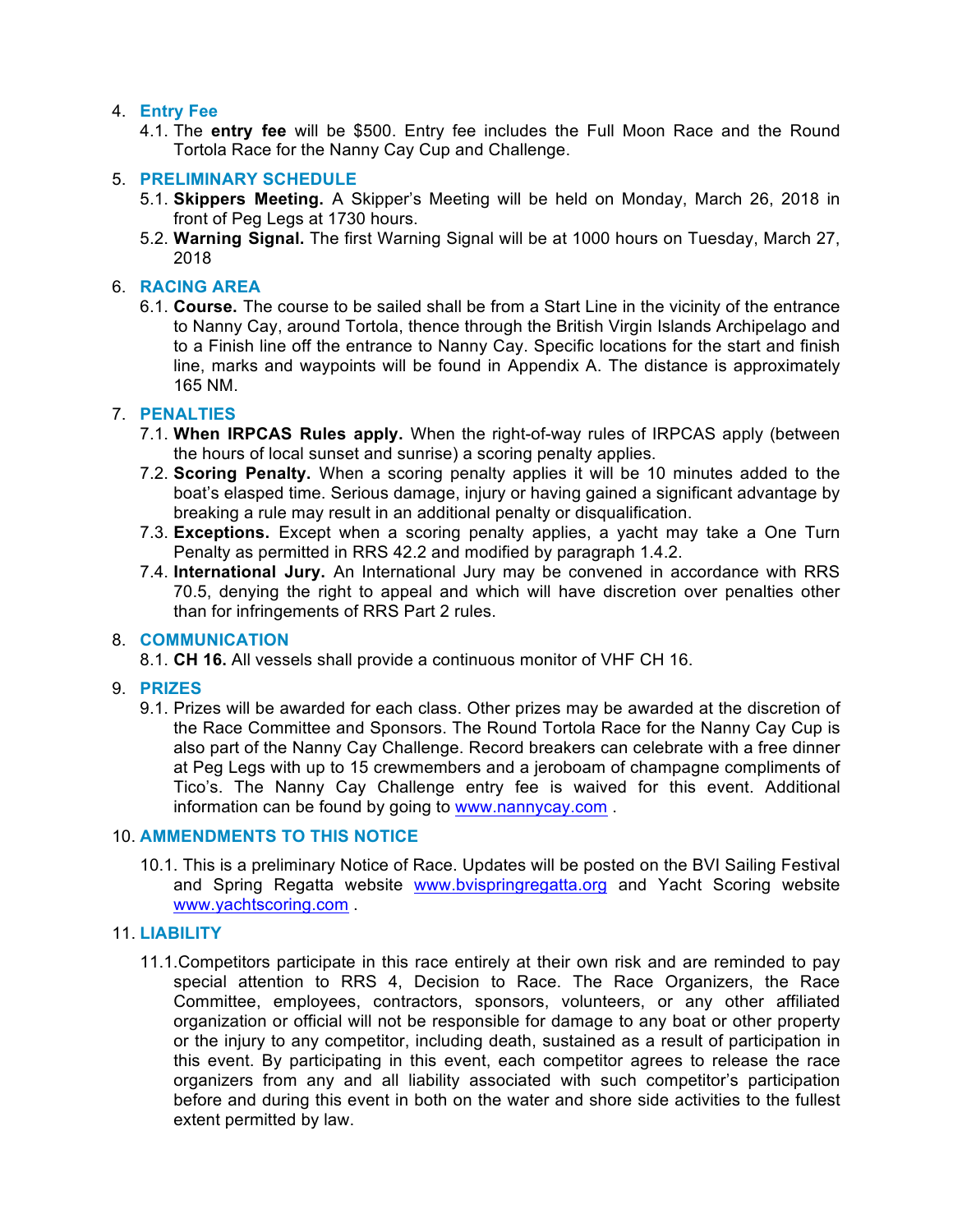#### 4. **Entry Fee**

4.1. The **entry fee** will be \$500. Entry fee includes the Full Moon Race and the Round Tortola Race for the Nanny Cay Cup and Challenge.

#### 5. **PRELIMINARY SCHEDULE**

- 5.1. **Skippers Meeting.** A Skipper's Meeting will be held on Monday, March 26, 2018 in front of Peg Legs at 1730 hours.
- 5.2. **Warning Signal.** The first Warning Signal will be at 1000 hours on Tuesday, March 27, 2018

#### 6. **RACING AREA**

6.1. **Course.** The course to be sailed shall be from a Start Line in the vicinity of the entrance to Nanny Cay, around Tortola, thence through the British Virgin Islands Archipelago and to a Finish line off the entrance to Nanny Cay. Specific locations for the start and finish line, marks and waypoints will be found in Appendix A. The distance is approximately 165 NM.

#### 7. **PENALTIES**

- 7.1. **When IRPCAS Rules apply.** When the right-of-way rules of IRPCAS apply (between the hours of local sunset and sunrise) a scoring penalty applies.
- 7.2. **Scoring Penalty.** When a scoring penalty applies it will be 10 minutes added to the boat's elasped time. Serious damage, injury or having gained a significant advantage by breaking a rule may result in an additional penalty or disqualification.
- 7.3. **Exceptions.** Except when a scoring penalty applies, a yacht may take a One Turn Penalty as permitted in RRS 42.2 and modified by paragraph 1.4.2.
- 7.4. **International Jury.** An International Jury may be convened in accordance with RRS 70.5, denying the right to appeal and which will have discretion over penalties other than for infringements of RRS Part 2 rules.

#### 8. **COMMUNICATION**

8.1. **CH 16.** All vessels shall provide a continuous monitor of VHF CH 16.

#### 9. **PRIZES**

9.1. Prizes will be awarded for each class. Other prizes may be awarded at the discretion of the Race Committee and Sponsors. The Round Tortola Race for the Nanny Cay Cup is also part of the Nanny Cay Challenge. Record breakers can celebrate with a free dinner at Peg Legs with up to 15 crewmembers and a jeroboam of champagne compliments of Tico's. The Nanny Cay Challenge entry fee is waived for this event. Additional information can be found by going to [www.nannycay.com](http://www.nannycay.com) .

#### 10. **AMMENDMENTS TO THIS NOTICE**

10.1. This is a preliminary Notice of Race. Updates will be posted on the BVI Sailing Festival and Spring Regatta website [www.bvispringregatta.org](http://www.bvispringregatta.org) and Yacht Scoring website [www.yachtscoring.com](http://www.yachtscoring.com) .

#### 11. **LIABILITY**

11.1.Competitors participate in this race entirely at their own risk and are reminded to pay special attention to RRS 4, Decision to Race. The Race Organizers, the Race Committee, employees, contractors, sponsors, volunteers, or any other affiliated organization or official will not be responsible for damage to any boat or other property or the injury to any competitor, including death, sustained as a result of participation in this event. By participating in this event, each competitor agrees to release the race organizers from any and all liability associated with such competitor's participation before and during this event in both on the water and shore side activities to the fullest extent permitted by law.